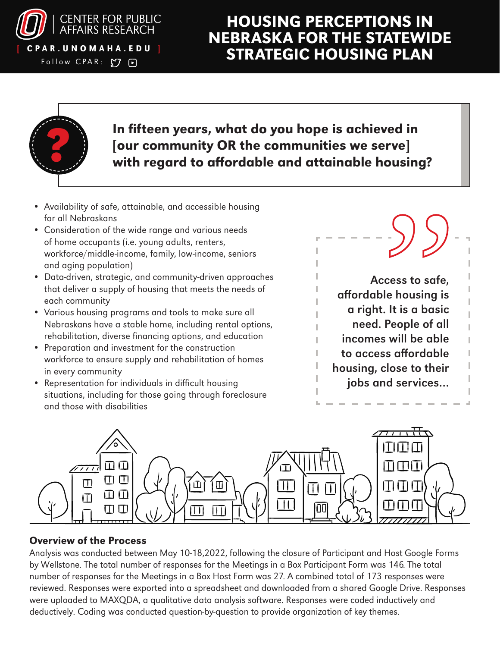

Follow CPAR:  $O$  D

## HOUSING PERCEPTIONS IN NEBRASKA FOR THE STATEWIDE CPAR.UNOMAHA.EDU ] STRATEGIC HOUSING PLAN



### In fifteen years, what do you hope is achieved in<br>[our community OR the communities we serve]<br>with regard to affordable and attainable housing [our community OR the communities we serve] with regard to affordable and attainable housing?

- Availability of safe, attainable, and accessible housing for all Nebraskans
- Consideration of the wide range and various needs of home occupants (i.e. young adults, renters, workforce/middle-income, family, low-income, seniors and aging population)
- Data-driven, strategic, and community-driven approaches that deliver a supply of housing that meets the needs of each community
- Various housing programs and tools to make sure all Nebraskans have a stable home, including rental options, rehabilitation, diverse financing options, and education
- Preparation and investment for the construction workforce to ensure supply and rehabilitation of homes in every community
- Representation for individuals in difficult housing situations, including for those going through foreclosure and those with disabilities





### Overview of the Process

Analysis was conducted between May 10-18,2022, following the closure of Participant and Host Google Forms by Wellstone. The total number of responses for the Meetings in a Box Participant Form was 146. The total number of responses for the Meetings in a Box Host Form was 27. A combined total of 173 responses were reviewed. Responses were exported into a spreadsheet and downloaded from a shared Google Drive. Responses were uploaded to MAXQDA, a qualitative data analysis software. Responses were coded inductively and deductively. Coding was conducted question-by-question to provide organization of key themes.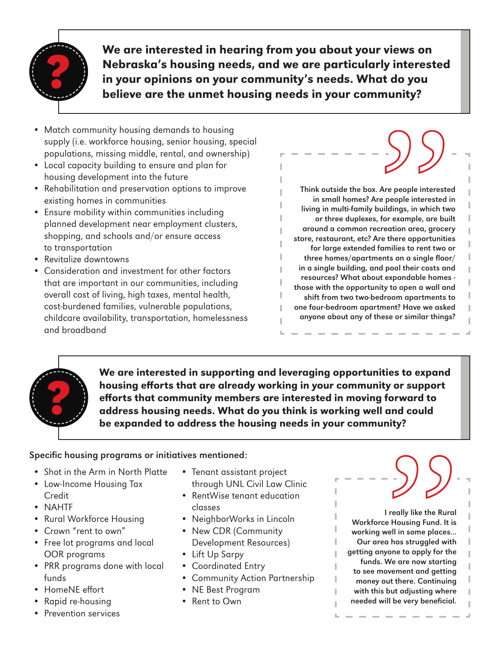

We are interested in hearing from you about your views on Nebraska's housing needs, and we are particularly interested in your opinions on your community's needs. What do you believe are the unmet housing needs in your community?

- Match community housing demands to housing supply (i.e. workforce housing, senior housing, special populations, missing middle, rental, and ownership)
- Local capacity building to ensure and plan for housing development into the future
- Rehabilitation and preservation options to improve existing homes in communities
- Ensure mobility within communities including planned development near employment clusters, shopping, and schools and/or ensure access to transportation
- Revitalize downtowns
- Consideration and investment for other factors that are important in our communities, including overall cost of living, high taxes, mental health, cost-burdened families, vulnerable populations, childcare availability, transportation, homelessness and broadband

Think outside the box. Are people interested in small homes? Are people interested in living in multi-family buildings, in which two or three duplexes, for example, are built around a common recreation area, grocery store, restaurant, etc? Are there opportunities for large extended families to rent two or three homes/apartments on a single floor/ in a single building, and pool their costs and resources? What about expandable homes those with the opportunity to open a wall and shift from two two-bedroom apartments to one four-bedroom apartment? Have we asked anyone about any of these or similar things? Supplementation<br>Are people intereste<br>e people interested in<br>indiangs, in which two for example, are buit<br>reation area, grocer<br>re there opportunities<br>dents on a single floor<br>d pool their costs and the contents



We are interested in supporting and leveraging opportunities to expand housing efforts that are already working in your community or support efforts that community members are interested in moving forward to address housing needs. What do you think is working well and could be expanded to address the housing needs in your community?

#### Specific housing programs or initiatives mentioned:

- Shot in the Arm in North Platte
- Low-Income Housing Tax Credit
- NAHTF
- Rural Workforce Housing
- Crown "rent to own"
- Free lot programs and local OOR programs
- PRR programs done with local funds
- HomeNE effort
- Rapid re-housing
- Prevention services
- Tenant assistant project through UNL Civil Law Clinic
- RentWise tenant education classes
- NeighborWorks in Lincoln
- New CDR (Community Development Resources)
- Lift Up Sarpy
- Coordinated Entry
- Community Action Partnership
- NE Best Program
- Rent to Own

I really like the Rural Workforce Housing Fund. It is working well in some places... Our area has struggled with getting anyone to apply for the funds. We are now starting to see movement and getting money out there. Continuing with this but adjusting where needed will be very beneficial. For the Rural<br>Preally like the Rural<br>Prousing Fund. It is<br>a has struggled with<br>tone to apply for the<br>We are now starting<br>wement and getting<br>but adjusting where<br>II be very beneficial.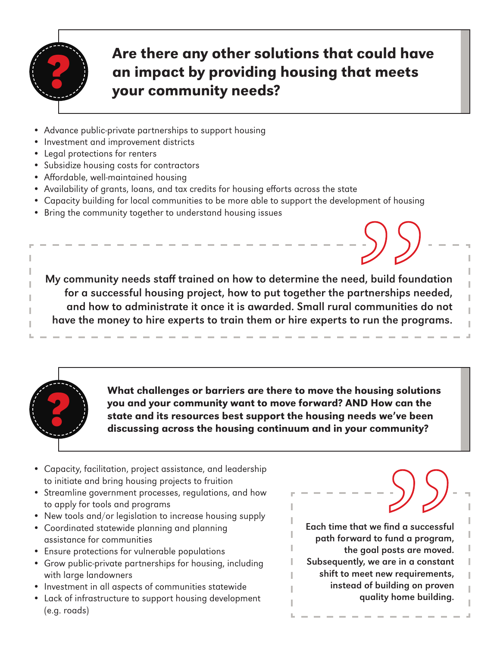

# Are there any other solutions that could have<br>an impact by providing housing that meets<br>your community needs? an impact by providing housing that meets your community needs?

- Advance public-private partnerships to support housing
- Investment and improvement districts
- Legal protections for renters
- Subsidize housing costs for contractors
- Affordable, well-maintained housing
- Availability of grants, loans, and tax credits for housing efforts across the state
- Capacity building for local communities to be more able to support the development of housing
- Bring the community together to understand housing issues

My community needs staff trained on how to determine the need, build foundation for a successful housing project, how to put together the partnerships needed, and how to administrate it once it is awarded. Small rural communities do not have the money to hire experts to train them or hire experts to run the programs. ed, build found<br>artnerships need<br>communities do run the program



What challenges or barriers are there to move the housing solutions you and your community want to move forward? AND How can the state and its resources best support the housing needs we've been discussing across the housing continuum and in your community?

- Capacity, facilitation, project assistance, and leadership to initiate and bring housing projects to fruition
- Streamline government processes, regulations, and how to apply for tools and programs
- New tools and/or legislation to increase housing supply
- Coordinated statewide planning and planning assistance for communities
- Ensure protections for vulnerable populations
- Grow public-private partnerships for housing, including with large landowners
- Investment in all aspects of communities statewide
- Lack of infrastructure to support housing development (e.g. roads)

Each time that we find a successful path forward to fund a program, the goal posts are moved. Subsequently, we are in a constant shift to meet new requirements, instead of building on proven quality home building. SOO SUBSET ON THE SUBSALET SANDWEST ON THE SUBSALET SUBSET OF THE SUBSET OF THE SUBSTRICT OF THE SUBSTRICT OF THE SUBSTRICT OF THE SUBSTRICT OF THE SUBSTRICT OF THE SUBSTRICT OF THE SUBSTRICT OF THE SUBSTRICT OF THE SUBSTR